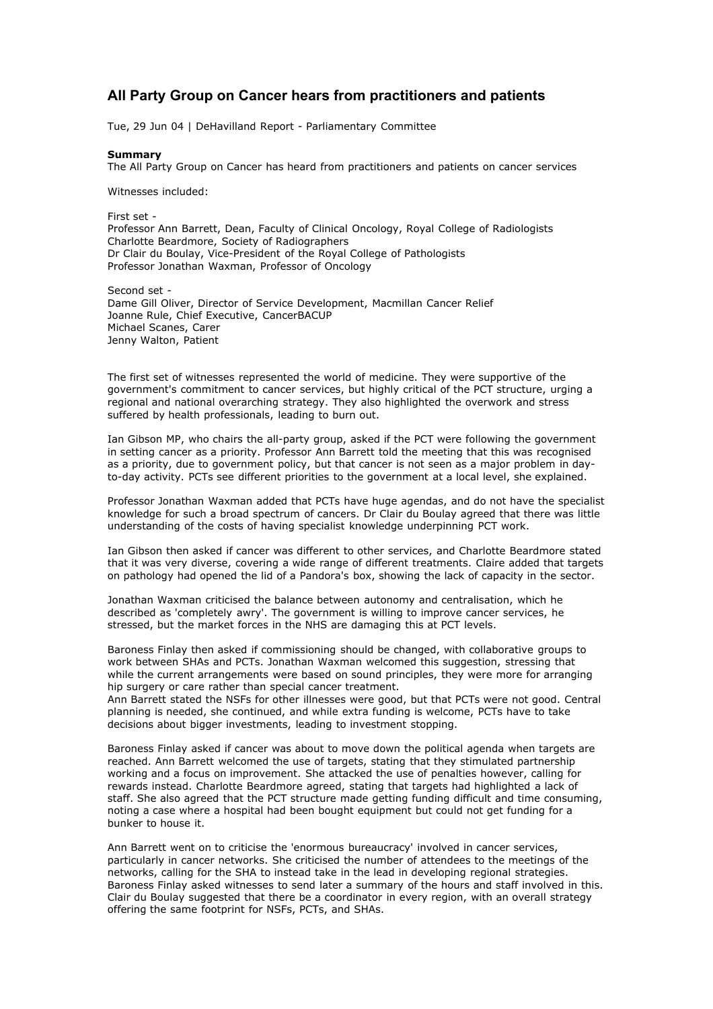## **All Party Group on Cancer hears from practitioners and patients**

Tue, 29 Jun 04 | DeHavilland Report - Parliamentary Committee

## **Summary**

The All Party Group on Cancer has heard from practitioners and patients on cancer services

Witnesses included:

First set - Professor Ann Barrett, Dean, Faculty of Clinical Oncology, Royal College of Radiologists Charlotte Beardmore, Society of Radiographers Dr Clair du Boulay, Vice-President of the Royal College of Pathologists Professor Jonathan Waxman, Professor of Oncology

Second set - Dame Gill Oliver, Director of Service Development, Macmillan Cancer Relief Joanne Rule, Chief Executive, CancerBACUP Michael Scanes, Carer Jenny Walton, Patient

The first set of witnesses represented the world of medicine. They were supportive of the government's commitment to cancer services, but highly critical of the PCT structure, urging a regional and national overarching strategy. They also highlighted the overwork and stress suffered by health professionals, leading to burn out.

Ian Gibson MP, who chairs the all-party group, asked if the PCT were following the government in setting cancer as a priority. Professor Ann Barrett told the meeting that this was recognised as a priority, due to government policy, but that cancer is not seen as a major problem in dayto-day activity. PCTs see different priorities to the government at a local level, she explained.

Professor Jonathan Waxman added that PCTs have huge agendas, and do not have the specialist knowledge for such a broad spectrum of cancers. Dr Clair du Boulay agreed that there was little understanding of the costs of having specialist knowledge underpinning PCT work.

Ian Gibson then asked if cancer was different to other services, and Charlotte Beardmore stated that it was very diverse, covering a wide range of different treatments. Claire added that targets on pathology had opened the lid of a Pandora's box, showing the lack of capacity in the sector.

Jonathan Waxman criticised the balance between autonomy and centralisation, which he described as 'completely awry'. The government is willing to improve cancer services, he stressed, but the market forces in the NHS are damaging this at PCT levels.

Baroness Finlay then asked if commissioning should be changed, with collaborative groups to work between SHAs and PCTs. Jonathan Waxman welcomed this suggestion, stressing that while the current arrangements were based on sound principles, they were more for arranging hip surgery or care rather than special cancer treatment.

Ann Barrett stated the NSFs for other illnesses were good, but that PCTs were not good. Central planning is needed, she continued, and while extra funding is welcome, PCTs have to take decisions about bigger investments, leading to investment stopping.

Baroness Finlay asked if cancer was about to move down the political agenda when targets are reached. Ann Barrett welcomed the use of targets, stating that they stimulated partnership working and a focus on improvement. She attacked the use of penalties however, calling for rewards instead. Charlotte Beardmore agreed, stating that targets had highlighted a lack of staff. She also agreed that the PCT structure made getting funding difficult and time consuming, noting a case where a hospital had been bought equipment but could not get funding for a bunker to house it.

Ann Barrett went on to criticise the 'enormous bureaucracy' involved in cancer services, particularly in cancer networks. She criticised the number of attendees to the meetings of the networks, calling for the SHA to instead take in the lead in developing regional strategies. Baroness Finlay asked witnesses to send later a summary of the hours and staff involved in this. Clair du Boulay suggested that there be a coordinator in every region, with an overall strategy offering the same footprint for NSFs, PCTs, and SHAs.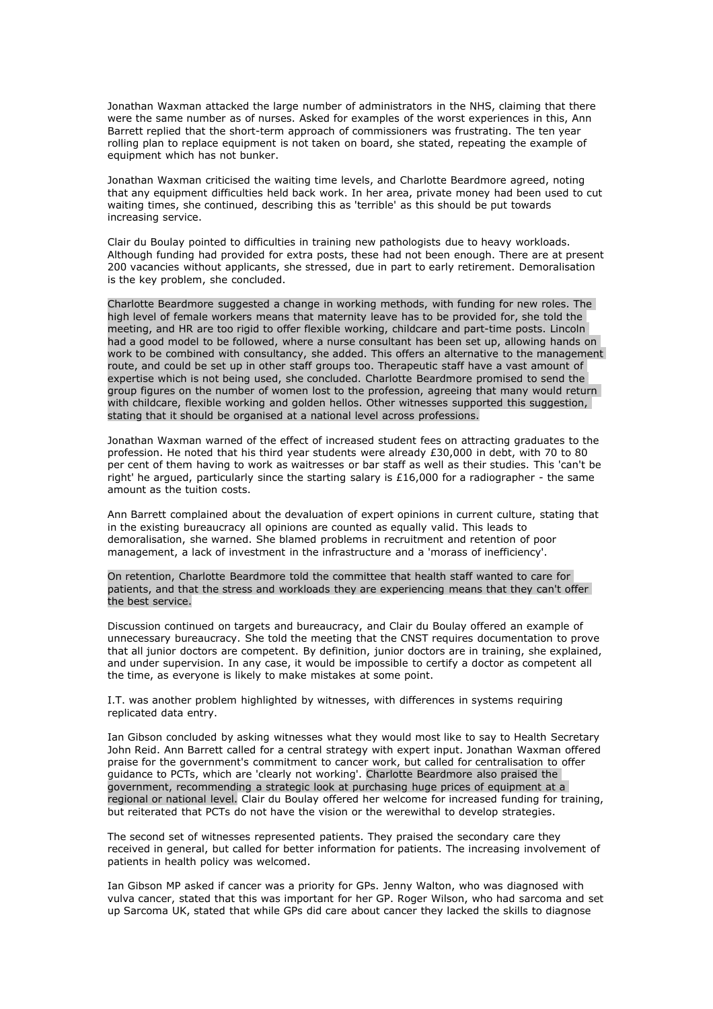Jonathan Waxman attacked the large number of administrators in the NHS, claiming that there were the same number as of nurses. Asked for examples of the worst experiences in this, Ann Barrett replied that the short-term approach of commissioners was frustrating. The ten year rolling plan to replace equipment is not taken on board, she stated, repeating the example of equipment which has not bunker.

Jonathan Waxman criticised the waiting time levels, and Charlotte Beardmore agreed, noting that any equipment difficulties held back work. In her area, private money had been used to cut waiting times, she continued, describing this as 'terrible' as this should be put towards increasing service.

Clair du Boulay pointed to difficulties in training new pathologists due to heavy workloads. Although funding had provided for extra posts, these had not been enough. There are at present 200 vacancies without applicants, she stressed, due in part to early retirement. Demoralisation is the key problem, she concluded.

Charlotte Beardmore suggested a change in working methods, with funding for new roles. The high level of female workers means that maternity leave has to be provided for, she told the meeting, and HR are too rigid to offer flexible working, childcare and part-time posts. Lincoln had a good model to be followed, where a nurse consultant has been set up, allowing hands on work to be combined with consultancy, she added. This offers an alternative to the management route, and could be set up in other staff groups too. Therapeutic staff have a vast amount of expertise which is not being used, she concluded. Charlotte Beardmore promised to send the group figures on the number of women lost to the profession, agreeing that many would return with childcare, flexible working and golden hellos. Other witnesses supported this suggestion, stating that it should be organised at a national level across professions.

Jonathan Waxman warned of the effect of increased student fees on attracting graduates to the profession. He noted that his third year students were already £30,000 in debt, with 70 to 80 per cent of them having to work as waitresses or bar staff as well as their studies. This 'can't be right' he argued, particularly since the starting salary is £16,000 for a radiographer - the same amount as the tuition costs.

Ann Barrett complained about the devaluation of expert opinions in current culture, stating that in the existing bureaucracy all opinions are counted as equally valid. This leads to demoralisation, she warned. She blamed problems in recruitment and retention of poor management, a lack of investment in the infrastructure and a 'morass of inefficiency'.

On retention, Charlotte Beardmore told the committee that health staff wanted to care for patients, and that the stress and workloads they are experiencing means that they can't offer the best service.

Discussion continued on targets and bureaucracy, and Clair du Boulay offered an example of unnecessary bureaucracy. She told the meeting that the CNST requires documentation to prove that all junior doctors are competent. By definition, junior doctors are in training, she explained, and under supervision. In any case, it would be impossible to certify a doctor as competent all the time, as everyone is likely to make mistakes at some point.

I.T. was another problem highlighted by witnesses, with differences in systems requiring replicated data entry.

Ian Gibson concluded by asking witnesses what they would most like to say to Health Secretary John Reid. Ann Barrett called for a central strategy with expert input. Jonathan Waxman offered praise for the government's commitment to cancer work, but called for centralisation to offer guidance to PCTs, which are 'clearly not working'. Charlotte Beardmore also praised the government, recommending a strategic look at purchasing huge prices of equipment at a regional or national level. Clair du Boulay offered her welcome for increased funding for training, but reiterated that PCTs do not have the vision or the werewithal to develop strategies.

The second set of witnesses represented patients. They praised the secondary care they received in general, but called for better information for patients. The increasing involvement of patients in health policy was welcomed.

Ian Gibson MP asked if cancer was a priority for GPs. Jenny Walton, who was diagnosed with vulva cancer, stated that this was important for her GP. Roger Wilson, who had sarcoma and set up Sarcoma UK, stated that while GPs did care about cancer they lacked the skills to diagnose